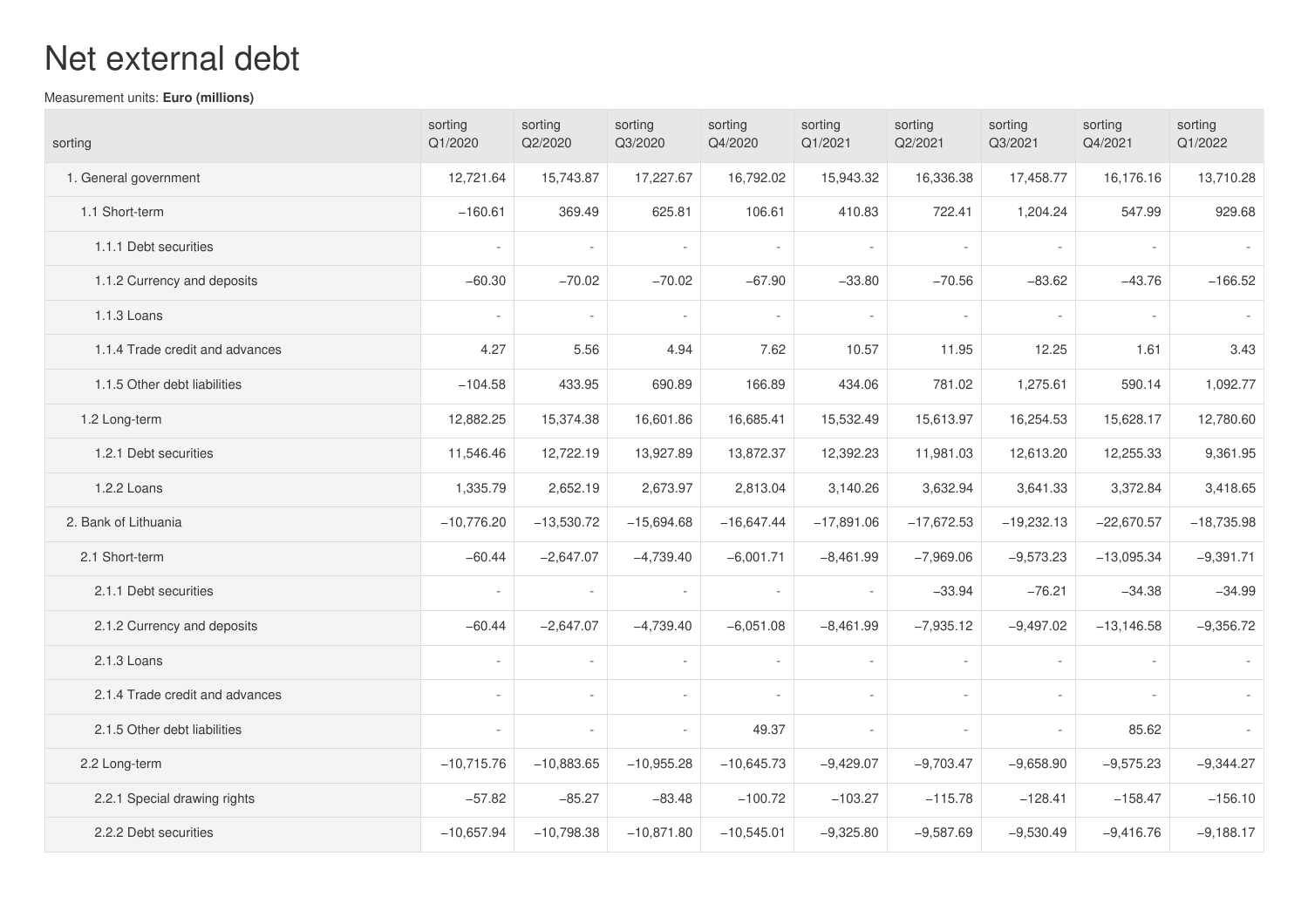## Net external debt

Measurement units: **Euro (millions)**

| sorting                         | sorting<br>Q1/2020 | sorting<br>Q2/2020 | sorting<br>Q3/2020 | sorting<br>Q4/2020 | sorting<br>Q1/2021 | sorting<br>Q2/2021 | sorting<br>Q3/2021       | sorting<br>Q4/2021          | sorting<br>Q1/2022 |
|---------------------------------|--------------------|--------------------|--------------------|--------------------|--------------------|--------------------|--------------------------|-----------------------------|--------------------|
| 1. General government           | 12,721.64          | 15,743.87          | 17,227.67          | 16,792.02          | 15,943.32          | 16,336.38          | 17,458.77                | 16,176.16                   | 13,710.28          |
| 1.1 Short-term                  | $-160.61$          | 369.49             | 625.81             | 106.61             | 410.83             | 722.41             | 1,204.24                 | 547.99                      | 929.68             |
| 1.1.1 Debt securities           |                    | $\sim$             | $\sim$             | $\sim$             | $\sim$             | $\sim$             | $\overline{\phantom{a}}$ | $\mathcal{L}_{\mathcal{A}}$ |                    |
| 1.1.2 Currency and deposits     | $-60.30$           | $-70.02$           | $-70.02$           | $-67.90$           | $-33.80$           | $-70.56$           | $-83.62$                 | $-43.76$                    | $-166.52$          |
| 1.1.3 Loans                     | ÷,                 | $\sim$             | $\sim$             | $\sim$             | $\sim$             | $\sim$             | $\sim$                   | $\sim$                      |                    |
| 1.1.4 Trade credit and advances | 4.27               | 5.56               | 4.94               | 7.62               | 10.57              | 11.95              | 12.25                    | 1.61                        | 3.43               |
| 1.1.5 Other debt liabilities    | $-104.58$          | 433.95             | 690.89             | 166.89             | 434.06             | 781.02             | 1,275.61                 | 590.14                      | 1,092.77           |
| 1.2 Long-term                   | 12,882.25          | 15,374.38          | 16,601.86          | 16,685.41          | 15,532.49          | 15,613.97          | 16,254.53                | 15,628.17                   | 12,780.60          |
| 1.2.1 Debt securities           | 11,546.46          | 12,722.19          | 13,927.89          | 13,872.37          | 12,392.23          | 11,981.03          | 12,613.20                | 12,255.33                   | 9,361.95           |
| 1.2.2 Loans                     | 1,335.79           | 2,652.19           | 2,673.97           | 2,813.04           | 3,140.26           | 3,632.94           | 3,641.33                 | 3,372.84                    | 3,418.65           |
| 2. Bank of Lithuania            | $-10,776.20$       | $-13,530.72$       | $-15,694.68$       | $-16,647.44$       | $-17,891.06$       | $-17,672.53$       | $-19,232.13$             | $-22,670.57$                | $-18,735.98$       |
| 2.1 Short-term                  | $-60.44$           | $-2,647.07$        | $-4,739.40$        | $-6,001.71$        | $-8,461.99$        | $-7,969.06$        | $-9,573.23$              | $-13,095.34$                | $-9,391.71$        |
| 2.1.1 Debt securities           | ä,                 | $\sim$             | $\omega$           | $\sim$             |                    | $-33.94$           | $-76.21$                 | $-34.38$                    | $-34.99$           |
| 2.1.2 Currency and deposits     | $-60.44$           | $-2,647.07$        | $-4,739.40$        | $-6,051.08$        | $-8,461.99$        | $-7,935.12$        | $-9,497.02$              | $-13,146.58$                | $-9,356.72$        |
| 2.1.3 Loans                     |                    | i.                 | $\omega$           | $\omega$           |                    | $\omega$           | $\omega$                 | ÷.                          |                    |
| 2.1.4 Trade credit and advances | ä,                 | ÷.                 | $\omega$           | ÷.                 |                    | $\sim$             | ä,                       | ÷.                          |                    |
| 2.1.5 Other debt liabilities    | ä,                 | $\sim$             | $\sim$             | 49.37              |                    | i.                 | $\blacksquare$           | 85.62                       |                    |
| 2.2 Long-term                   | $-10,715.76$       | $-10,883.65$       | $-10,955.28$       | $-10,645.73$       | $-9,429.07$        | $-9,703.47$        | $-9,658.90$              | $-9,575.23$                 | $-9,344.27$        |
| 2.2.1 Special drawing rights    | $-57.82$           | $-85.27$           | $-83.48$           | $-100.72$          | $-103.27$          | $-115.78$          | $-128.41$                | $-158.47$                   | $-156.10$          |
| 2.2.2 Debt securities           | $-10,657.94$       | $-10,798.38$       | $-10,871.80$       | $-10,545.01$       | $-9,325.80$        | $-9,587.69$        | $-9,530.49$              | $-9,416.76$                 | $-9,188.17$        |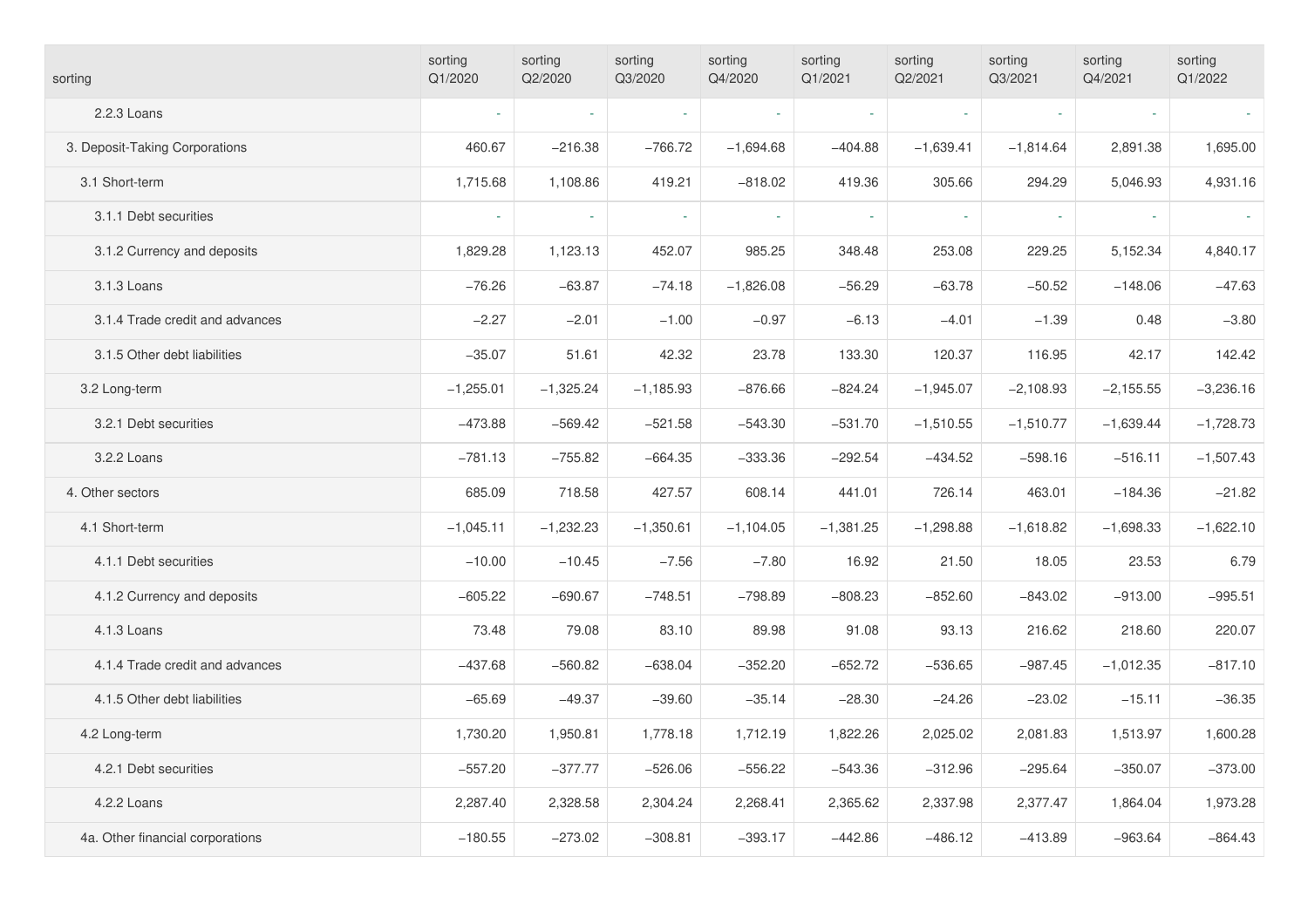| sorting                          | sorting<br>Q1/2020 | sorting<br>Q2/2020 | sorting<br>Q3/2020 | sorting<br>Q4/2020 | sorting<br>Q1/2021 | sorting<br>Q2/2021 | sorting<br>Q3/2021 | sorting<br>Q4/2021 | sorting<br>Q1/2022 |
|----------------------------------|--------------------|--------------------|--------------------|--------------------|--------------------|--------------------|--------------------|--------------------|--------------------|
| 2.2.3 Loans                      |                    | $\omega$           | $\mathbf{r}$       |                    |                    | $\sim$             | $\omega$           |                    |                    |
| 3. Deposit-Taking Corporations   | 460.67             | $-216.38$          | $-766.72$          | $-1,694.68$        | $-404.88$          | $-1,639.41$        | $-1,814.64$        | 2,891.38           | 1,695.00           |
| 3.1 Short-term                   | 1,715.68           | 1,108.86           | 419.21             | $-818.02$          | 419.36             | 305.66             | 294.29             | 5,046.93           | 4,931.16           |
| 3.1.1 Debt securities            |                    |                    |                    |                    |                    | ä,                 |                    |                    |                    |
| 3.1.2 Currency and deposits      | 1,829.28           | 1,123.13           | 452.07             | 985.25             | 348.48             | 253.08             | 229.25             | 5,152.34           | 4,840.17           |
| 3.1.3 Loans                      | $-76.26$           | $-63.87$           | $-74.18$           | $-1,826.08$        | $-56.29$           | $-63.78$           | $-50.52$           | $-148.06$          | $-47.63$           |
| 3.1.4 Trade credit and advances  | $-2.27$            | $-2.01$            | $-1.00$            | $-0.97$            | $-6.13$            | $-4.01$            | $-1.39$            | 0.48               | $-3.80$            |
| 3.1.5 Other debt liabilities     | $-35.07$           | 51.61              | 42.32              | 23.78              | 133.30             | 120.37             | 116.95             | 42.17              | 142.42             |
| 3.2 Long-term                    | $-1,255.01$        | $-1,325.24$        | $-1,185.93$        | $-876.66$          | $-824.24$          | $-1,945.07$        | $-2,108.93$        | $-2,155.55$        | $-3,236.16$        |
| 3.2.1 Debt securities            | $-473.88$          | $-569.42$          | $-521.58$          | $-543.30$          | $-531.70$          | $-1,510.55$        | $-1,510.77$        | $-1,639.44$        | $-1,728.73$        |
| 3.2.2 Loans                      | $-781.13$          | $-755.82$          | $-664.35$          | $-333.36$          | $-292.54$          | $-434.52$          | $-598.16$          | $-516.11$          | $-1,507.43$        |
| 4. Other sectors                 | 685.09             | 718.58             | 427.57             | 608.14             | 441.01             | 726.14             | 463.01             | $-184.36$          | $-21.82$           |
| 4.1 Short-term                   | $-1,045.11$        | $-1,232.23$        | $-1,350.61$        | $-1,104.05$        | $-1,381.25$        | $-1,298.88$        | $-1,618.82$        | $-1,698.33$        | $-1,622.10$        |
| 4.1.1 Debt securities            | $-10.00$           | $-10.45$           | $-7.56$            | $-7.80$            | 16.92              | 21.50              | 18.05              | 23.53              | 6.79               |
| 4.1.2 Currency and deposits      | $-605.22$          | $-690.67$          | $-748.51$          | $-798.89$          | $-808.23$          | $-852.60$          | $-843.02$          | $-913.00$          | $-995.51$          |
| 4.1.3 Loans                      | 73.48              | 79.08              | 83.10              | 89.98              | 91.08              | 93.13              | 216.62             | 218.60             | 220.07             |
| 4.1.4 Trade credit and advances  | $-437.68$          | $-560.82$          | $-638.04$          | $-352.20$          | $-652.72$          | $-536.65$          | $-987.45$          | $-1,012.35$        | $-817.10$          |
| 4.1.5 Other debt liabilities     | $-65.69$           | $-49.37$           | $-39.60$           | $-35.14$           | $-28.30$           | $-24.26$           | $-23.02$           | $-15.11$           | $-36.35$           |
| 4.2 Long-term                    | 1,730.20           | 1,950.81           | 1,778.18           | 1,712.19           | 1,822.26           | 2,025.02           | 2,081.83           | 1,513.97           | 1,600.28           |
| 4.2.1 Debt securities            | $-557.20$          | $-377.77$          | $-526.06$          | $-556.22$          | $-543.36$          | $-312.96$          | $-295.64$          | $-350.07$          | $-373.00$          |
| 4.2.2 Loans                      | 2,287.40           | 2,328.58           | 2,304.24           | 2,268.41           | 2,365.62           | 2,337.98           | 2,377.47           | 1,864.04           | 1,973.28           |
| 4a. Other financial corporations | $-180.55$          | $-273.02$          | $-308.81$          | $-393.17$          | $-442.86$          | $-486.12$          | $-413.89$          | $-963.64$          | -864.43            |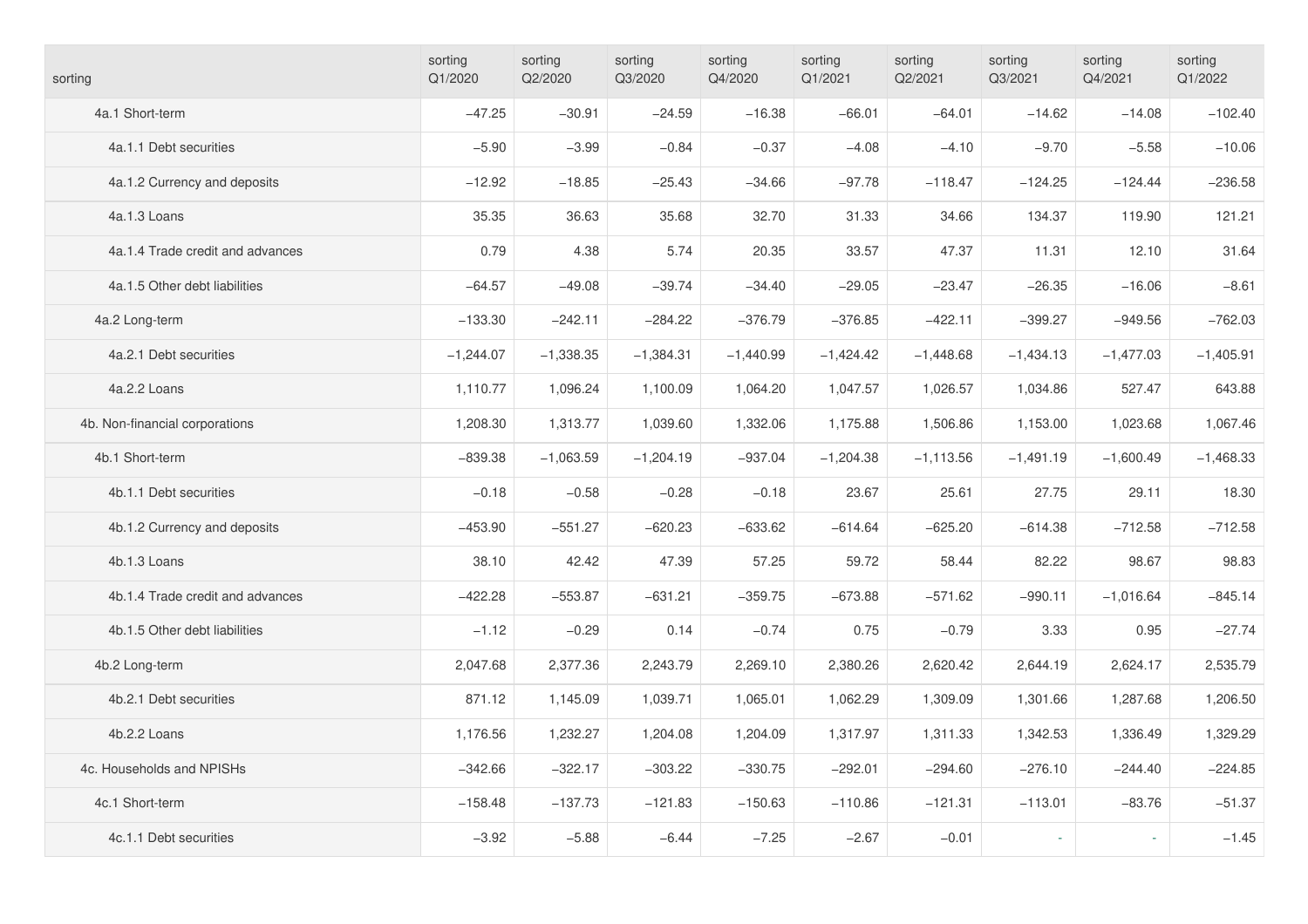| sorting                          | sorting<br>Q1/2020 | sorting<br>Q2/2020 | sorting<br>Q3/2020 | sorting<br>Q4/2020 | sorting<br>Q1/2021 | sorting<br>Q2/2021 | sorting<br>Q3/2021 | sorting<br>Q4/2021 | sorting<br>Q1/2022 |
|----------------------------------|--------------------|--------------------|--------------------|--------------------|--------------------|--------------------|--------------------|--------------------|--------------------|
| 4a.1 Short-term                  | $-47.25$           | $-30.91$           | $-24.59$           | $-16.38$           | $-66.01$           | $-64.01$           | $-14.62$           | $-14.08$           | $-102.40$          |
| 4a.1.1 Debt securities           | $-5.90$            | $-3.99$            | $-0.84$            | $-0.37$            | $-4.08$            | $-4.10$            | $-9.70$            | $-5.58$            | $-10.06$           |
| 4a.1.2 Currency and deposits     | $-12.92$           | $-18.85$           | $-25.43$           | $-34.66$           | $-97.78$           | $-118.47$          | $-124.25$          | $-124.44$          | $-236.58$          |
| 4a.1.3 Loans                     | 35.35              | 36.63              | 35.68              | 32.70              | 31.33              | 34.66              | 134.37             | 119.90             | 121.21             |
| 4a.1.4 Trade credit and advances | 0.79               | 4.38               | 5.74               | 20.35              | 33.57              | 47.37              | 11.31              | 12.10              | 31.64              |
| 4a.1.5 Other debt liabilities    | $-64.57$           | $-49.08$           | $-39.74$           | $-34.40$           | $-29.05$           | $-23.47$           | $-26.35$           | $-16.06$           | $-8.61$            |
| 4a.2 Long-term                   | $-133.30$          | $-242.11$          | $-284.22$          | $-376.79$          | $-376.85$          | $-422.11$          | $-399.27$          | $-949.56$          | $-762.03$          |
| 4a.2.1 Debt securities           | $-1,244.07$        | $-1,338.35$        | $-1,384.31$        | $-1,440.99$        | $-1,424.42$        | $-1,448.68$        | $-1,434.13$        | $-1,477.03$        | $-1,405.91$        |
| 4a.2.2 Loans                     | 1,110.77           | 1,096.24           | 1,100.09           | 1,064.20           | 1,047.57           | 1,026.57           | 1,034.86           | 527.47             | 643.88             |
| 4b. Non-financial corporations   | 1,208.30           | 1,313.77           | 1,039.60           | 1,332.06           | 1,175.88           | 1,506.86           | 1,153.00           | 1,023.68           | 1,067.46           |
| 4b.1 Short-term                  | $-839.38$          | $-1,063.59$        | $-1,204.19$        | $-937.04$          | $-1,204.38$        | $-1,113.56$        | $-1,491.19$        | $-1,600.49$        | $-1,468.33$        |
| 4b.1.1 Debt securities           | $-0.18$            | $-0.58$            | $-0.28$            | $-0.18$            | 23.67              | 25.61              | 27.75              | 29.11              | 18.30              |
| 4b.1.2 Currency and deposits     | $-453.90$          | $-551.27$          | $-620.23$          | $-633.62$          | $-614.64$          | $-625.20$          | $-614.38$          | $-712.58$          | $-712.58$          |
| 4b.1.3 Loans                     | 38.10              | 42.42              | 47.39              | 57.25              | 59.72              | 58.44              | 82.22              | 98.67              | 98.83              |
| 4b.1.4 Trade credit and advances | $-422.28$          | $-553.87$          | $-631.21$          | $-359.75$          | $-673.88$          | $-571.62$          | $-990.11$          | $-1,016.64$        | $-845.14$          |
| 4b.1.5 Other debt liabilities    | $-1.12$            | $-0.29$            | 0.14               | $-0.74$            | 0.75               | $-0.79$            | 3.33               | 0.95               | $-27.74$           |
| 4b.2 Long-term                   | 2,047.68           | 2,377.36           | 2,243.79           | 2,269.10           | 2,380.26           | 2,620.42           | 2,644.19           | 2,624.17           | 2,535.79           |
| 4b.2.1 Debt securities           | 871.12             | 1,145.09           | 1,039.71           | 1,065.01           | 1,062.29           | 1,309.09           | 1,301.66           | 1,287.68           | 1,206.50           |
| 4b.2.2 Loans                     | 1,176.56           | 1,232.27           | 1,204.08           | 1,204.09           | 1,317.97           | 1,311.33           | 1,342.53           | 1,336.49           | 1,329.29           |
| 4c. Households and NPISHs        | $-342.66$          | $-322.17$          | $-303.22$          | $-330.75$          | $-292.01$          | $-294.60$          | $-276.10$          | $-244.40$          | $-224.85$          |
| 4c.1 Short-term                  | $-158.48$          | $-137.73$          | $-121.83$          | $-150.63$          | $-110.86$          | $-121.31$          | $-113.01$          | $-83.76$           | $-51.37$           |
| 4c.1.1 Debt securities           | $-3.92$            | $-5.88$            | $-6.44$            | $-7.25$            | $-2.67$            | $-0.01$            | ÷.                 |                    | $-1.45$            |